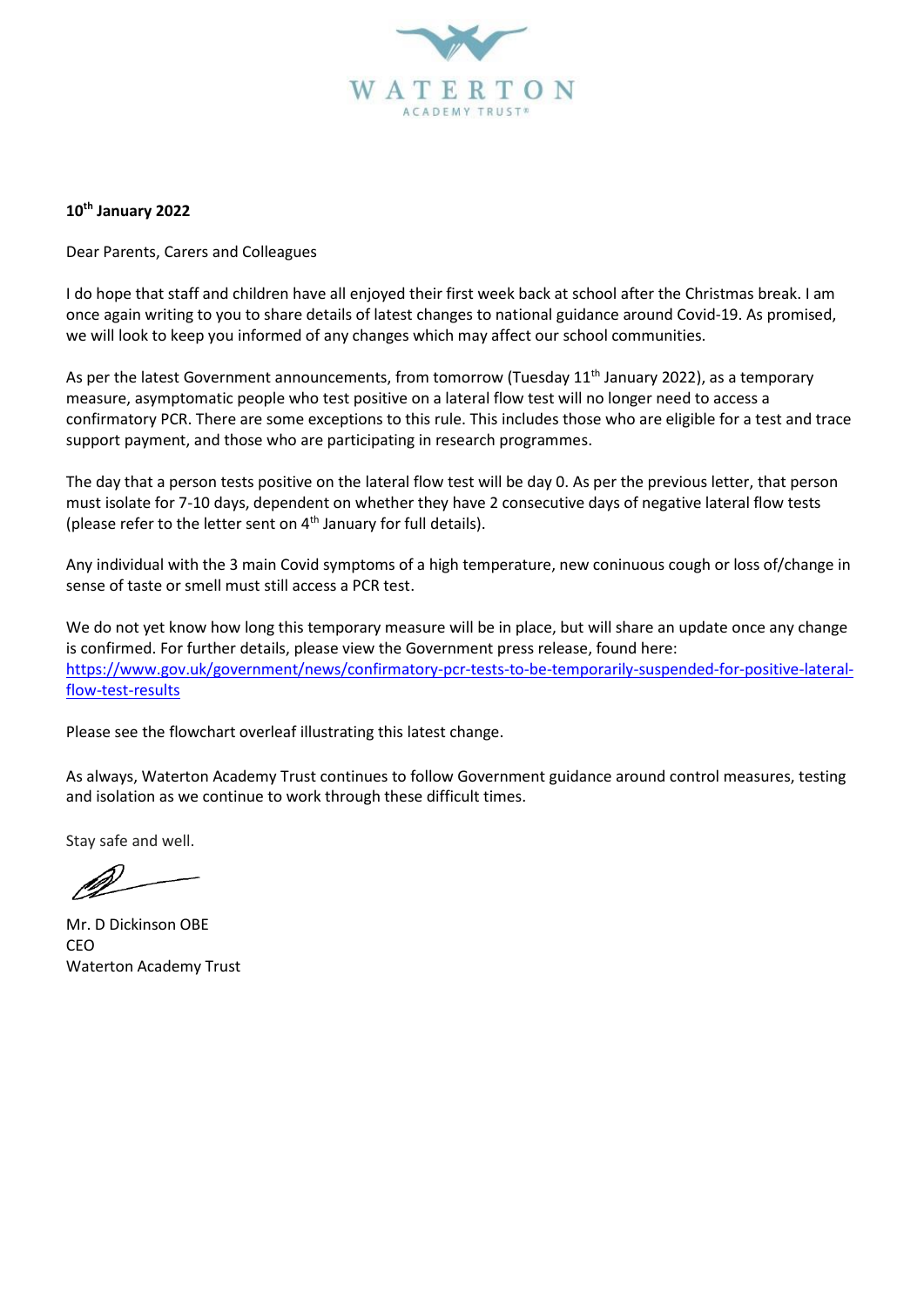

## **10th January 2022**

Dear Parents, Carers and Colleagues

I do hope that staff and children have all enjoyed their first week back at school after the Christmas break. I am once again writing to you to share details of latest changes to national guidance around Covid-19. As promised, we will look to keep you informed of any changes which may affect our school communities.

As per the latest Government announcements, from tomorrow (Tuesday 11<sup>th</sup> January 2022), as a temporary measure, asymptomatic people who test positive on a lateral flow test will no longer need to access a confirmatory PCR. There are some exceptions to this rule. This includes those who are eligible for a test and trace support payment, and those who are participating in research programmes.

The day that a person tests positive on the lateral flow test will be day 0. As per the previous letter, that person must isolate for 7-10 days, dependent on whether they have 2 consecutive days of negative lateral flow tests (please refer to the letter sent on  $4<sup>th</sup>$  January for full details).

Any individual with the 3 main Covid symptoms of a high temperature, new coninuous cough or loss of/change in sense of taste or smell must still access a PCR test.

We do not yet know how long this temporary measure will be in place, but will share an update once any change is confirmed. For further details, please view the Government press release, found here: [https://www.gov.uk/government/news/confirmatory-pcr-tests-to-be-temporarily-suspended-for-positive-lateral](https://www.gov.uk/government/news/confirmatory-pcr-tests-to-be-temporarily-suspended-for-positive-lateral-flow-test-results)[flow-test-results](https://www.gov.uk/government/news/confirmatory-pcr-tests-to-be-temporarily-suspended-for-positive-lateral-flow-test-results)

Please see the flowchart overleaf illustrating this latest change.

As always, Waterton Academy Trust continues to follow Government guidance around control measures, testing and isolation as we continue to work through these difficult times.

Stay safe and well.

Mr. D Dickinson OBE CEO Waterton Academy Trust